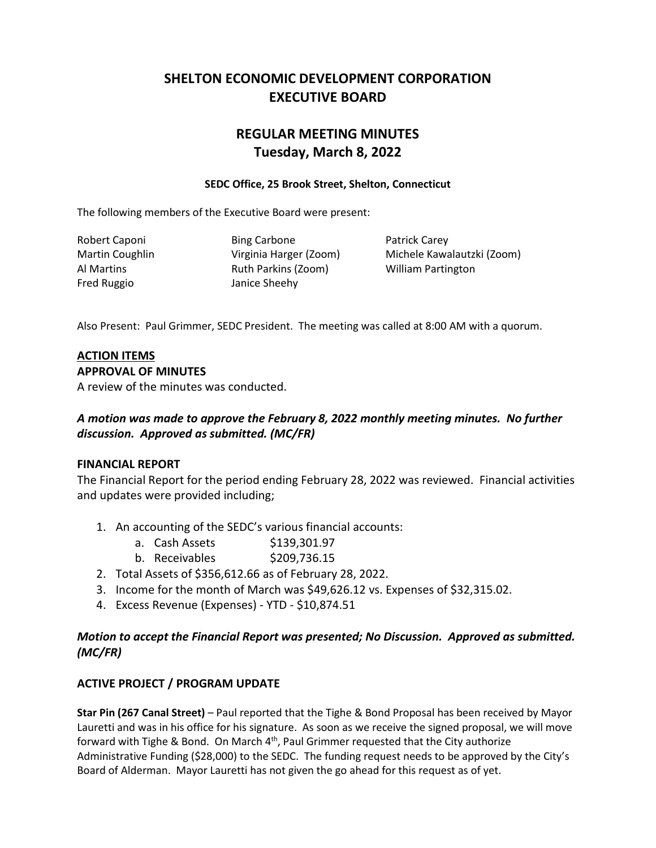# **SHELTON ECONOMIC DEVELOPMENT CORPORATION EXECUTIVE BOARD**

# **REGULAR MEETING MINUTES Tuesday, March 8, 2022**

#### **SEDC Office, 25 Brook Street, Shelton, Connecticut**

The following members of the Executive Board were present:

Fred Ruggio Janice Sheehy

Robert Caponi **Bing Carbone** Patrick Carey Al Martins Ruth Parkins (Zoom) William Partington

Martin Coughlin Virginia Harger (Zoom) Michele Kawalautzki (Zoom)

Also Present: Paul Grimmer, SEDC President. The meeting was called at 8:00 AM with a quorum.

## **ACTION ITEMS**

#### **APPROVAL OF MINUTES**

A review of the minutes was conducted.

### *A motion was made to approve the February 8, 2022 monthly meeting minutes. No further discussion. Approved as submitted. (MC/FR)*

#### **FINANCIAL REPORT**

The Financial Report for the period ending February 28, 2022 was reviewed. Financial activities and updates were provided including;

- 1. An accounting of the SEDC's various financial accounts:
	- a. Cash Assets \$139,301.97
	- b. Receivables \$209,736.15
- 2. Total Assets of \$356,612.66 as of February 28, 2022.
- 3. Income for the month of March was \$49,626.12 vs. Expenses of \$32,315.02.
- 4. Excess Revenue (Expenses) YTD \$10,874.51

#### *Motion to accept the Financial Report was presented; No Discussion. Approved as submitted. (MC/FR)*

### **ACTIVE PROJECT / PROGRAM UPDATE**

**Star Pin (267 Canal Street)** – Paul reported that the Tighe & Bond Proposal has been received by Mayor Lauretti and was in his office for his signature. As soon as we receive the signed proposal, we will move forward with Tighe & Bond. On March  $4<sup>th</sup>$ , Paul Grimmer requested that the City authorize Administrative Funding (\$28,000) to the SEDC. The funding request needs to be approved by the City's Board of Alderman. Mayor Lauretti has not given the go ahead for this request as of yet.